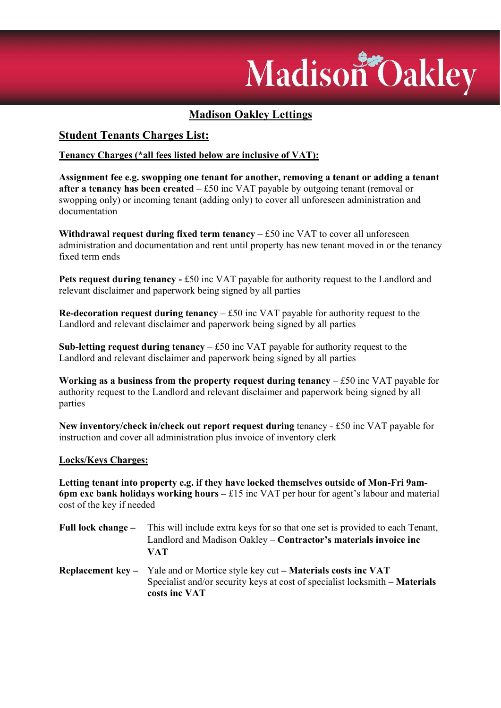# Madison Oakley

## Madison Oakley Lettings

### Student Tenants Charges List:

#### Tenancy Charges (\*all fees listed below are inclusive of VAT):

Assignment fee e.g. swopping one tenant for another, removing a tenant or adding a tenant after a tenancy has been created  $-$  £50 inc VAT payable by outgoing tenant (removal or swopping only) or incoming tenant (adding only) to cover all unforeseen administration and documentation

Withdrawal request during fixed term tenancy  $-$  £50 inc VAT to cover all unforeseen administration and documentation and rent until property has new tenant moved in or the tenancy fixed term ends

Pets request during tenancy - £50 inc VAT payable for authority request to the Landlord and relevant disclaimer and paperwork being signed by all parties

Re-decoration request during tenancy  $-$  £50 inc VAT payable for authority request to the Landlord and relevant disclaimer and paperwork being signed by all parties

**Sub-letting request during tenancy**  $-$  £50 inc VAT payable for authority request to the Landlord and relevant disclaimer and paperwork being signed by all parties

Working as a business from the property request during tenancy  $- £50$  inc VAT payable for authority request to the Landlord and relevant disclaimer and paperwork being signed by all parties

New inventory/check in/check out report request during tenancy - £50 inc VAT payable for instruction and cover all administration plus invoice of inventory clerk

#### Locks/Keys Charges:

Letting tenant into property e.g. if they have locked themselves outside of Mon-Fri 9am-6pm exc bank holidays working hours  $-\text{\pounds}15$  inc VAT per hour for agent's labour and material cost of the key if needed

- Full lock change This will include extra keys for so that one set is provided to each Tenant, Landlord and Madison Oakley – Contractor's materials invoice inc VAT
- Replacement key Yale and or Mortice style key cut Materials costs inc VAT Specialist and/or security keys at cost of specialist locksmith – Materials costs inc VAT